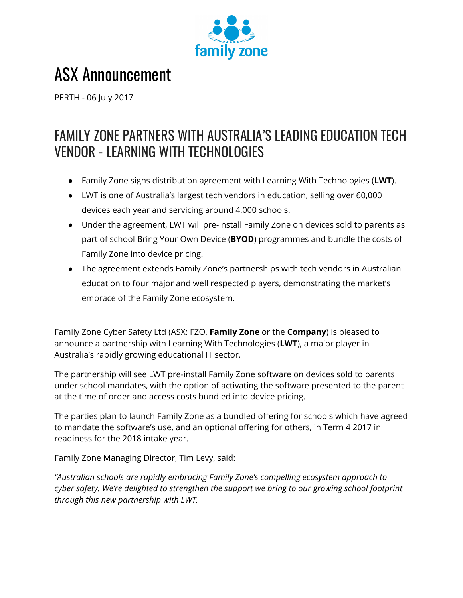

# ASX Announcement

PERTH - 06 July 2017

# FAMILY ZONE PARTNERS WITH AUSTRALIA'S LEADING EDUCATION TECH VENDOR - LEARNING WITH TECHNOLOGIES

- Family Zone signs distribution agreement with Learning With Technologies (**LWT**).
- LWT is one of Australia's largest tech vendors in education, selling over 60,000 devices each year and servicing around 4,000 schools.
- Under the agreement, LWT will pre-install Family Zone on devices sold to parents as part of school Bring Your Own Device (**BYOD**) programmes and bundle the costs of Family Zone into device pricing.
- The agreement extends Family Zone's partnerships with tech vendors in Australian education to four major and well respected players, demonstrating the market's embrace of the Family Zone ecosystem.

Family Zone Cyber Safety Ltd (ASX: FZO, **Family Zone** or the **Company**) is pleased to announce a partnership with Learning With Technologies (**LWT**), a major player in Australia's rapidly growing educational IT sector.

The partnership will see LWT pre-install Family Zone software on devices sold to parents under school mandates, with the option of activating the software presented to the parent at the time of order and access costs bundled into device pricing.

The parties plan to launch Family Zone as a bundled offering for schools which have agreed to mandate the software's use, and an optional offering for others, in Term 4 2017 in readiness for the 2018 intake year.

Family Zone Managing Director, Tim Levy, said:

*"Australian schools are rapidly embracing Family Zone's compelling ecosystem approach to cyber safety. We're delighted to strengthen the support we bring to our growing school footprint through this new partnership with LWT.*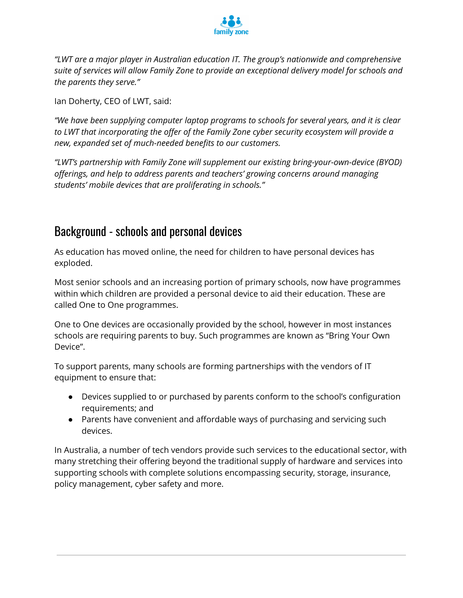

*"LWT are a major player in Australian education IT. The group's nationwide and comprehensive suite of services will allow Family Zone to provide an exceptional delivery model for schools and the parents they serve."*

Ian Doherty, CEO of LWT, said:

*"We have been supplying computer laptop programs to schools for several years, and it is clear to LWT that incorporating the offer of the Family Zone cyber security ecosystem will provide a new, expanded set of much-needed benefits to our customers.*

*"LWT's partnership with Family Zone will supplement our existing bring-your-own-device (BYOD) offerings, and help to address parents and teachers' growing concerns around managing students' mobile devices that are proliferating in schools."*

## Background - schools and personal devices

As education has moved online, the need for children to have personal devices has exploded.

Most senior schools and an increasing portion of primary schools, now have programmes within which children are provided a personal device to aid their education. These are called One to One programmes.

One to One devices are occasionally provided by the school, however in most instances schools are requiring parents to buy. Such programmes are known as "Bring Your Own Device".

To support parents, many schools are forming partnerships with the vendors of IT equipment to ensure that:

- Devices supplied to or purchased by parents conform to the school's configuration requirements; and
- Parents have convenient and affordable ways of purchasing and servicing such devices.

In Australia, a number of tech vendors provide such services to the educational sector, with many stretching their offering beyond the traditional supply of hardware and services into supporting schools with complete solutions encompassing security, storage, insurance, policy management, cyber safety and more.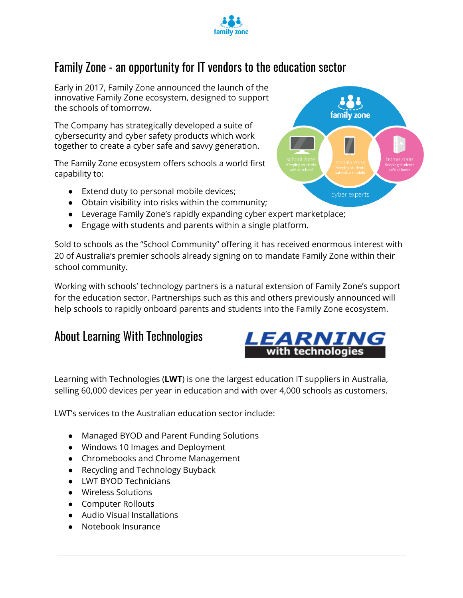

# Family Zone - an opportunity for IT vendors to the education sector

Early in 2017, Family Zone announced the launch of the innovative Family Zone ecosystem, designed to support the schools of tomorrow.

The Company has strategically developed a suite of cybersecurity and cyber safety products which work together to create a cyber safe and savvy generation.

The Family Zone ecosystem offers schools a world first capability to:

- Extend duty to personal mobile devices;
- Obtain visibility into risks within the community;
- Leverage Family Zone's rapidly expanding cyber expert marketplace;
- Engage with students and parents within a single platform.

Sold to schools as the "School Community" offering it has received enormous interest with 20 of Australia's premier schools already signing on to mandate Family Zone within their school community.

Working with schools' technology partners is a natural extension of Family Zone's support for the education sector. Partnerships such as this and others previously announced will help schools to rapidly onboard parents and students into the Family Zone ecosystem.

## About Learning With Technologies



*LEARNING* with technologies

Learning with Technologies (**LWT**) is one the largest education IT suppliers in Australia, selling 60,000 devices per year in education and with over 4,000 schools as customers.

LWT's services to the Australian education sector include:

- Managed BYOD and Parent Funding Solutions
- Windows 10 Images and Deployment
- Chromebooks and Chrome Management
- Recycling and Technology Buyback
- LWT BYOD Technicians
- Wireless Solutions
- Computer Rollouts
- Audio Visual Installations
- Notebook Insurance